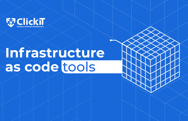

## **Infrastructure as code** tools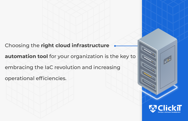Choosing the **right cloud infrastructure** 

**automation tool** for your organization is the key to embracing the IaC revolution and increasing

operational efficiencies.

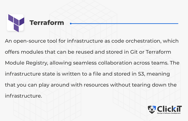

An open-source tool for infrastructure as code orchestration, which offers modules that can be reused and stored in Git or Terraform Module Registry, allowing seamless collaboration across teams. The infrastructure state is written to a file and stored in S3, meaning that you can play around with resources without tearing down the infrastructure.

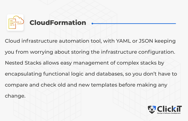

Cloud infrastructure automation tool, with YAML or JSON keeping you from worrying about storing the infrastructure configuration. Nested Stacks allows easy management of complex stacks by encapsulating functional logic and databases, so you don't have to compare and check old and new templates before making any change.

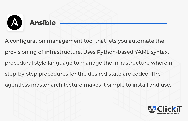

## **Ansible**

A configuration management tool that lets you automate the provisioning of infrastructure. Uses Python-based YAML syntax, procedural style language to manage the infrastructure wherein step-by-step procedures for the desired state are coded. The agentless master architecture makes it simple to install and use.

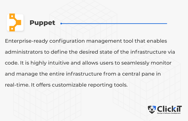

Enterprise-ready configuration management tool that enables administrators to define the desired state of the infrastructure via code. It is highly intuitive and allows users to seamlessly monitor and manage the entire infrastructure from a central pane in real-time. It offers customizable reporting tools.

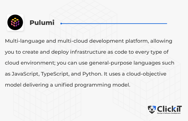

## **Pulumi**

Multi-language and multi-cloud development platform, allowing you to create and deploy infrastructure as code to every type of cloud environment; you can use general-purpose languages such as JavaScript, TypeScript, and Python. It uses a cloud-objective model delivering a unified programming model.

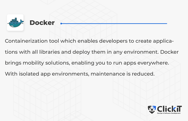

Containerization tool which enables developers to create applications with all libraries and deploy them in any environment. Docker brings mobility solutions, enabling you to run apps everywhere. With isolated app environments, maintenance is reduced.